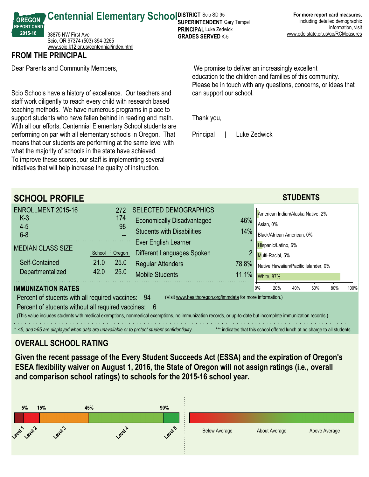**For more report card measures**, including detailed demographic information, visit www.ode.state.or.us/go/RCMeasures

**Centennial Elementary School SUPER RICT SCIO SD 95** 38875 NW First Ave Scio, OR 97374 (503) 394-3265 <www.scio.k12.or.us/centennial/index.html>

### **FROM THE PRINCIPAL**

**OREGON REPORT CARD 201516**

Dear Parents and Community Members,

Scio Schools have a history of excellence. Our teachers and staff work diligently to reach every child with research based teaching methods. We have numerous programs in place to support students who have fallen behind in reading and math. With all our efforts, Centennial Elementary School students are performing on par with all elementary schools in Oregon. That means that our students are performing at the same level with what the majority of schools in the state have achieved. To improve these scores, our staff is implementing several initiatives that will help increase the quality of instruction.

 We promise to deliver an increasingly excellent education to the children and families of this community. Please be in touch with any questions, concerns, or ideas that can support our school.

Thank you,

**SUPERINTENDENT** Gary Tempel **PRINCIPAL** Luke Zedwick **GRADES SERVED K-5** 

Principal | Luke Zedwick

| <b>SCHOOL PROFILE</b>                                                                                                                                                                                                                                                                                                                                                                                                                                                                                                                                                                        |                                                      |                                                                                                                                |                                  |                                                                                               |  | <b>STUDENTS</b> |  |  |  |  |
|----------------------------------------------------------------------------------------------------------------------------------------------------------------------------------------------------------------------------------------------------------------------------------------------------------------------------------------------------------------------------------------------------------------------------------------------------------------------------------------------------------------------------------------------------------------------------------------------|------------------------------------------------------|--------------------------------------------------------------------------------------------------------------------------------|----------------------------------|-----------------------------------------------------------------------------------------------|--|-----------------|--|--|--|--|
| ENROLLMENT 2015-16<br>$K-3$<br>$4 - 5$<br>$6 - 8$                                                                                                                                                                                                                                                                                                                                                                                                                                                                                                                                            | 272<br>174<br>98                                     | <b>SELECTED DEMOGRAPHICS</b><br><b>Economically Disadvantaged</b><br><b>Students with Disabilities</b><br>Ever English Learner | 46%<br>14%                       | American Indian/Alaska Native, 2%<br>Asian, 0%<br>Black/African American, 0%                  |  |                 |  |  |  |  |
| <b>MEDIAN CLASS SIZE</b><br>Self-Contained<br>Departmentalized                                                                                                                                                                                                                                                                                                                                                                                                                                                                                                                               | $:$ Oregon<br>School<br>21.0<br>25.0<br>25.0<br>42.0 | Different Languages Spoken<br><b>Regular Attenders</b><br><b>Mobile Students</b>                                               | $\overline{2}$<br>78.8%<br>11.1% | Hispanic/Latino, 6%<br>Multi-Racial, 5%<br>Native Hawaiian/Pacific Islander, 0%<br>White, 87% |  |                 |  |  |  |  |
| <b>IMMUNIZATION RATES</b><br>20%<br>60%<br>80%<br>100%<br>0%<br>40%<br>Percent of students with all required vaccines: 94<br>(Visit www.healthoregon.org/immdata for more information.)<br>Percent of students without all required vaccines: 6<br>(This value includes students with medical exemptions, nonmedical exemptions, no immunization records, or up-to-date but incomplete immunization records.)<br>*, <5, and >95 are displayed when data are unavailable or to protect student confidentiality.<br>*** indicates that this school offered lunch at no charge to all students. |                                                      |                                                                                                                                |                                  |                                                                                               |  |                 |  |  |  |  |

## **OVERALL SCHOOL RATING**

**Given the recent passage of the Every Student Succeeds Act (ESSA) and the expiration of Oregon's ESEA flexibility waiver on August 1, 2016, the State of Oregon will not assign ratings (i.e., overall and comparison school ratings) to schools for the 201516 school year.**

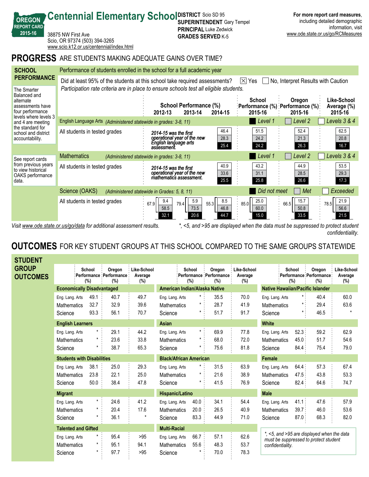|                                                                                                                                                                                              | <b>PROGRESS</b> ARE STUDENTS MAKING ADEQUATE GAINS OVER TIME?                                                                         |                                                                                              |                                                     |                                                                                                  |  |  |  |  |  |
|----------------------------------------------------------------------------------------------------------------------------------------------------------------------------------------------|---------------------------------------------------------------------------------------------------------------------------------------|----------------------------------------------------------------------------------------------|-----------------------------------------------------|--------------------------------------------------------------------------------------------------|--|--|--|--|--|
| <b>SCHOOL</b>                                                                                                                                                                                | Performance of students enrolled in the school for a full academic year                                                               |                                                                                              |                                                     |                                                                                                  |  |  |  |  |  |
| <b>PERFORMANCE</b>                                                                                                                                                                           | Did at least 95% of the students at this school take required assessments?<br>No, Interpret Results with Caution<br>$ \times $<br>Yes |                                                                                              |                                                     |                                                                                                  |  |  |  |  |  |
| The Smarter<br>Balanced and<br>alternate<br>assessments have<br>four performance<br>levels where levels 3<br>and 4 are meeting<br>the standard for<br>school and district<br>accountability. | Participation rate criteria are in place to ensure schools test all eligible students.                                                |                                                                                              |                                                     |                                                                                                  |  |  |  |  |  |
|                                                                                                                                                                                              |                                                                                                                                       | <b>School Performance (%)</b><br>2013-14<br>2012-13<br>2014-15                               | School<br>2015-16                                   | Like-School<br>Oregon<br>:Performance (%) :Performance (%):<br>Average (%)<br>2015-16<br>2015-16 |  |  |  |  |  |
|                                                                                                                                                                                              | English Language Arts (Administered statewide in grades: 3-8, 11)                                                                     |                                                                                              | Level 1                                             | Levels 3 & 4<br>Level 2                                                                          |  |  |  |  |  |
|                                                                                                                                                                                              | All students in tested grades                                                                                                         | 2014-15 was the first<br>operational year of the new<br>English language arts<br>assessment. | 46.4<br>51.5<br>28.3<br>24.2<br>24.2<br>25.4        | 52.4<br>62.5<br>20.8<br>21.3<br>26.3<br>16.7                                                     |  |  |  |  |  |
| See report cards<br>from previous years<br>to view historical<br>OAKS performance<br>data.                                                                                                   | <b>Mathematics</b>                                                                                                                    | (Administered statewide in grades: 3-8, 11)                                                  | Level 1                                             | Levels 3 & 4<br>Level 2                                                                          |  |  |  |  |  |
|                                                                                                                                                                                              | All students in tested grades                                                                                                         | 2014-15 was the first<br>operational year of the new<br>mathematics assessment.              | 40.9<br>43.2<br>33.6<br>31.1<br>25.5<br>25.8        | 44.9<br>53.5<br>28.5<br>29.3<br>26.6<br>17.3                                                     |  |  |  |  |  |
|                                                                                                                                                                                              | Science (OAKS)                                                                                                                        | (Administered statewide in Grades: 5, 8, 11)                                                 |                                                     | Did not meet<br>Met<br>Exceeded                                                                  |  |  |  |  |  |
|                                                                                                                                                                                              | All students in tested grades                                                                                                         | 5.9<br>9.4<br>67.9<br>79.4<br>55.3<br>58.5<br>73.5<br>20.6<br>32.1                           | 25.0<br>8.5<br>85.0<br>46.8<br>60.0<br>44.7<br>15.0 | 21.9<br>15.7<br>66.5<br>78.5<br>56.6<br>50.8<br>33.5<br>21.5                                     |  |  |  |  |  |

**SUPERINTENDENT** Gary Tempel **PRINCIPAL** Luke Zedwick **GRADES SERVED K-5** 

**Centennial Elementary School SUPER RICT SCIO SD 95** 

**OREGON REPORT CARD 201516**

38875 NW First Ave

Scio, OR 97374 (503) 394-3265 <www.scio.k12.or.us/centennial/index.html>

*Visit www.ode.state.or.us/go/data for additional assessment results. \*, <5, and >95 are displayed when the data must be suppressed to protect student confidentiality.*

**For more report card measures**, including detailed demographic

www.ode.state.or.us/go/RCMeasures

information, visit

# **OUTCOMES** FOR KEY STUDENT GROUPS AT THIS SCHOOL COMPARED TO THE SAME GROUPS STATEWIDE

| STUDENT                         |                                   |               |                                              |                               |                     |               |                                             |                               |                                                                                     |               |                                          |                               |  |  |
|---------------------------------|-----------------------------------|---------------|----------------------------------------------|-------------------------------|---------------------|---------------|---------------------------------------------|-------------------------------|-------------------------------------------------------------------------------------|---------------|------------------------------------------|-------------------------------|--|--|
| <b>GROUP</b><br><b>OUTCOMES</b> |                                   | School<br>(%) | Oregon<br>Performance : Performance :<br>(%) | Like-School<br>Average<br>(%) |                     | School<br>(%) | Oregon<br>:Performance : Performance<br>(%) | Like-School<br>Average<br>(%) |                                                                                     | School<br>(%) | Oregon<br>Performance Performance<br>(%) | Like-School<br>Average<br>(%) |  |  |
|                                 | <b>Economically Disadvantaged</b> |               | American Indian/Alaska Native                |                               |                     |               | <b>Native Hawaiian/Pacific Islander</b>     |                               |                                                                                     |               |                                          |                               |  |  |
|                                 | Eng. Lang. Arts                   | 49.1          | 40.7                                         | 49.7                          | Eng. Lang. Arts     | $\star$ .     | 35.5                                        | 70.0                          | Eng. Lang. Arts                                                                     | $\star$ :     | 40.4                                     | 60.0                          |  |  |
|                                 | <b>Mathematics</b>                | 32.7          | 32.9                                         | 39.6                          | Mathematics         |               | 28.7                                        | 41.9                          | <b>Mathematics</b>                                                                  |               | 29.4                                     | 63.6                          |  |  |
|                                 | Science                           | 93.3          | 56.1                                         | 70.7                          | Science             | $^\star$      | 51.7                                        | 91.7                          | Science                                                                             | $\star$ .     | 46.5                                     | $\star$                       |  |  |
|                                 | <b>English Learners</b>           |               |                                              |                               | <b>Asian</b>        |               |                                             |                               | <b>White</b>                                                                        |               |                                          |                               |  |  |
|                                 | Eng. Lang. Arts                   |               | 29.1                                         | 44.2                          | Eng. Lang. Arts     | $\star$ .     | 69.9                                        | 77.8                          | Eng. Lang. Arts                                                                     | 52.3:         | 59.2                                     | 62.9                          |  |  |
|                                 | <b>Mathematics</b>                |               | 23.6                                         | 33.8                          | <b>Mathematics</b>  | *             | 68.0                                        | 72.0                          | <b>Mathematics</b>                                                                  | 45.0:         | 51.7                                     | 54.6                          |  |  |
|                                 | Science                           |               | 38.7                                         | 65.3                          | Science             |               | 75.6                                        | 81.8                          | Science                                                                             | 84.4 :        | 75.4                                     | 79.0                          |  |  |
|                                 | <b>Students with Disabilities</b> |               |                                              | <b>Black/African American</b> |                     |               |                                             | Female                        |                                                                                     |               |                                          |                               |  |  |
|                                 | Eng. Lang. Arts                   | 38.1          | 25.0                                         | 29.3                          | Eng. Lang. Arts     | *             | 31.5                                        | 63.9                          | Eng. Lang. Arts                                                                     | 64.4:         | 57.3                                     | 67.4                          |  |  |
|                                 | <b>Mathematics</b>                | 23.8          | 22.1                                         | 25.0                          | Mathematics         |               | 21.6                                        | 38.9                          | <b>Mathematics</b>                                                                  | 47.5:         | 43.8                                     | 53.3                          |  |  |
|                                 | Science                           | 50.0          | 38.4                                         | 47.8                          | Science             | *             | 41.5                                        | 76.9                          | Science                                                                             | 82.4          | 64.6                                     | 74.7                          |  |  |
|                                 | <b>Migrant</b>                    |               |                                              | Hispanic/Latino               |                     |               | <b>Male</b>                                 |                               |                                                                                     |               |                                          |                               |  |  |
|                                 | Eng. Lang. Arts                   | $\star$       | 24.6                                         | 41.2                          | Eng. Lang. Arts     | 40.0          | 34.1                                        | 54.4                          | Eng. Lang. Arts                                                                     | 41.1:         | 47.6                                     | 57.9                          |  |  |
|                                 | <b>Mathematics</b>                | $\star$       | 20.4                                         | 17.6                          | <b>Mathematics</b>  | 20.0          | 26.5                                        | 40.9                          | <b>Mathematics</b>                                                                  | 39.7:         | 46.0                                     | 53.6                          |  |  |
|                                 | Science                           |               | 36.1                                         | $\pmb{\star}$                 | Science             | 83.3          | 44.9                                        | 71.0                          | Science                                                                             | 87.0          | 68.3                                     | 82.0                          |  |  |
| <b>Talented and Gifted</b>      |                                   |               |                                              |                               | <b>Multi-Racial</b> |               |                                             |                               |                                                                                     |               |                                          |                               |  |  |
|                                 | Eng. Lang. Arts                   |               | 95.4                                         | >95                           | Eng. Lang. Arts     | 66.7:         | 57.1                                        | 62.6                          | *, <5, and >95 are displayed when the data<br>must be suppressed to protect student |               |                                          |                               |  |  |
|                                 | <b>Mathematics</b>                | $\star$       | 95.1                                         | 94.1                          | <b>Mathematics</b>  | 55.6          | 48.3                                        | 53.7                          | confidentiality.                                                                    |               |                                          |                               |  |  |
|                                 | Science                           | $^\star$      | 97.7                                         | >95                           | Science             |               | 70.0                                        | 78.3                          |                                                                                     |               |                                          |                               |  |  |
|                                 |                                   |               |                                              |                               |                     |               |                                             |                               |                                                                                     |               |                                          |                               |  |  |